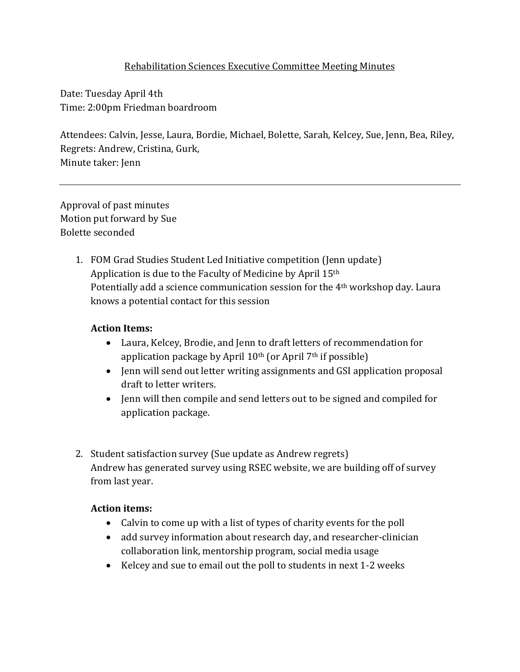### Rehabilitation Sciences Executive Committee Meeting Minutes

Date: Tuesday April 4th Time: 2:00pm Friedman boardroom

Attendees: Calvin, Jesse, Laura, Bordie, Michael, Bolette, Sarah, Kelcey, Sue, Jenn, Bea, Riley, Regrets: Andrew, Cristina, Gurk, Minute taker: Jenn

Approval of past minutes Motion put forward by Sue Bolette seconded

> 1. FOM Grad Studies Student Led Initiative competition (Jenn update) Application is due to the Faculty of Medicine by April 15th Potentially add a science communication session for the 4th workshop day. Laura knows a potential contact for this session

### **Action Items:**

- Laura, Kelcey, Brodie, and Jenn to draft letters of recommendation for application package by April 10th (or April 7th if possible)
- Jenn will send out letter writing assignments and GSI application proposal draft to letter writers.
- Jenn will then compile and send letters out to be signed and compiled for application package.
- 2. Student satisfaction survey (Sue update as Andrew regrets) Andrew has generated survey using RSEC website, we are building off of survey from last year.

## **Action items:**

- Calvin to come up with a list of types of charity events for the poll
- add survey information about research day, and researcher-clinician collaboration link, mentorship program, social media usage
- Kelcey and sue to email out the poll to students in next 1-2 weeks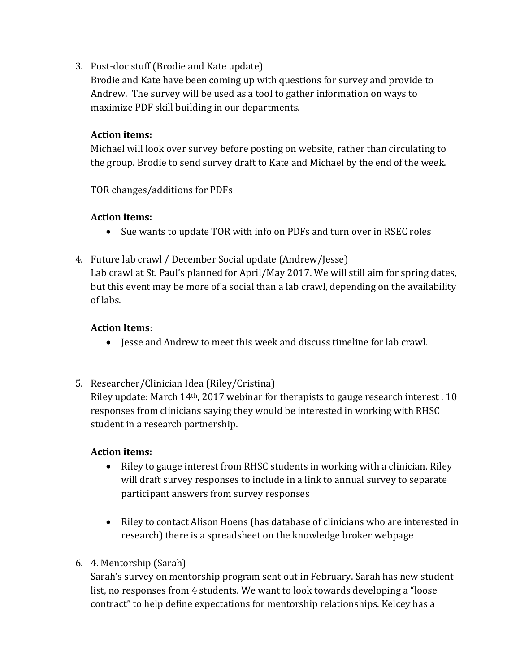3. Post-doc stuff (Brodie and Kate update)

Brodie and Kate have been coming up with questions for survey and provide to Andrew. The survey will be used as a tool to gather information on ways to maximize PDF skill building in our departments.

## **Action items:**

Michael will look over survey before posting on website, rather than circulating to the group. Brodie to send survey draft to Kate and Michael by the end of the week.

TOR changes/additions for PDFs

### **Action items:**

- Sue wants to update TOR with info on PDFs and turn over in RSEC roles
- 4. Future lab crawl / December Social update (Andrew/Jesse)

Lab crawl at St. Paul's planned for April/May 2017. We will still aim for spring dates, but this event may be more of a social than a lab crawl, depending on the availability of labs.

### **Action Items**:

- $\bullet$  Jesse and Andrew to meet this week and discuss timeline for lab crawl.
- 5. Researcher/Clinician Idea (Riley/Cristina)

Riley update: March 14th, 2017 webinar for therapists to gauge research interest . 10 responses from clinicians saying they would be interested in working with RHSC student in a research partnership.

#### **Action items:**

- Riley to gauge interest from RHSC students in working with a clinician. Riley will draft survey responses to include in a link to annual survey to separate participant answers from survey responses
- Riley to contact Alison Hoens (has database of clinicians who are interested in research) there is a spreadsheet on the knowledge broker webpage
- 6. 4. Mentorship (Sarah)

Sarah's survey on mentorship program sent out in February. Sarah has new student list, no responses from 4 students. We want to look towards developing a "loose contract" to help define expectations for mentorship relationships. Kelcey has a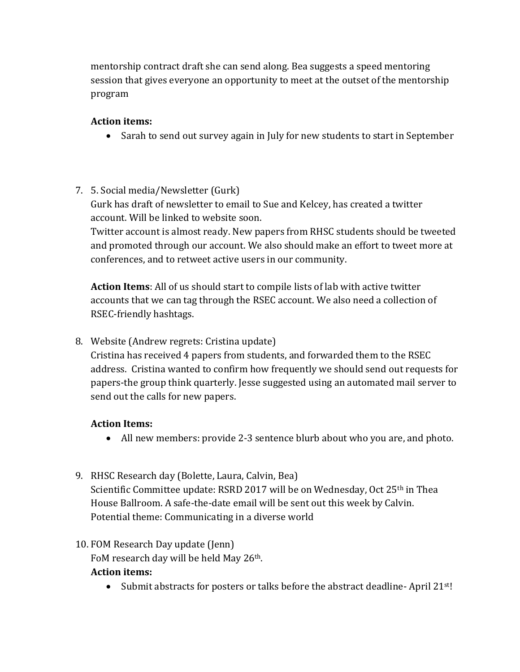mentorship contract draft she can send along. Bea suggests a speed mentoring session that gives everyone an opportunity to meet at the outset of the mentorship program

# **Action items:**

• Sarah to send out survey again in July for new students to start in September

# 7. 5. Social media/Newsletter (Gurk)

Gurk has draft of newsletter to email to Sue and Kelcey, has created a twitter account. Will be linked to website soon.

Twitter account is almost ready. New papers from RHSC students should be tweeted and promoted through our account. We also should make an effort to tweet more at conferences, and to retweet active users in our community.

**Action Items**: All of us should start to compile lists of lab with active twitter accounts that we can tag through the RSEC account. We also need a collection of RSEC-friendly hashtags.

8. Website (Andrew regrets: Cristina update)

Cristina has received 4 papers from students, and forwarded them to the RSEC address. Cristina wanted to confirm how frequently we should send out requests for papers-the group think quarterly. Jesse suggested using an automated mail server to send out the calls for new papers.

# **Action Items:**

- All new members: provide 2-3 sentence blurb about who you are, and photo.
- 9. RHSC Research day (Bolette, Laura, Calvin, Bea) Scientific Committee update: RSRD 2017 will be on Wednesday, Oct 25<sup>th</sup> in Thea House Ballroom. A safe-the-date email will be sent out this week by Calvin. Potential theme: Communicating in a diverse world

# 10. FOM Research Day update (Jenn)

FoM research day will be held May 26<sup>th</sup>.

## **Action items:**

• Submit abstracts for posters or talks before the abstract deadline-April 21<sup>st!</sup>